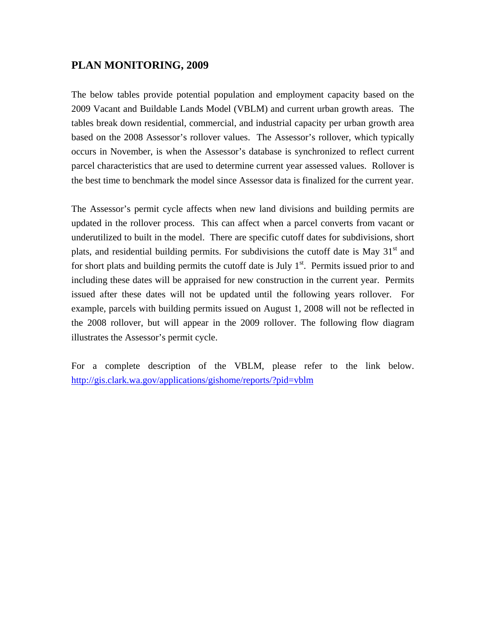## **PLAN MONITORING, 2009**

The below tables provide potential population and employment capacity based on the 2009 Vacant and Buildable Lands Model (VBLM) and current urban growth areas. The tables break down residential, commercial, and industrial capacity per urban growth area based on the 2008 Assessor's rollover values. The Assessor's rollover, which typically occurs in November, is when the Assessor's database is synchronized to reflect current parcel characteristics that are used to determine current year assessed values. Rollover is the best time to benchmark the model since Assessor data is finalized for the current year.

The Assessor's permit cycle affects when new land divisions and building permits are updated in the rollover process. This can affect when a parcel converts from vacant or underutilized to built in the model. There are specific cutoff dates for subdivisions, short plats, and residential building permits. For subdivisions the cutoff date is May  $31<sup>st</sup>$  and for short plats and building permits the cutoff date is July  $1<sup>st</sup>$ . Permits issued prior to and including these dates will be appraised for new construction in the current year. Permits issued after these dates will not be updated until the following years rollover. For example, parcels with building permits issued on August 1, 2008 will not be reflected in the 2008 rollover, but will appear in the 2009 rollover. The following flow diagram illustrates the Assessor's permit cycle.

For a complete description of the VBLM, please refer to the link below. <http://gis.clark.wa.gov/applications/gishome/reports/?pid=vblm>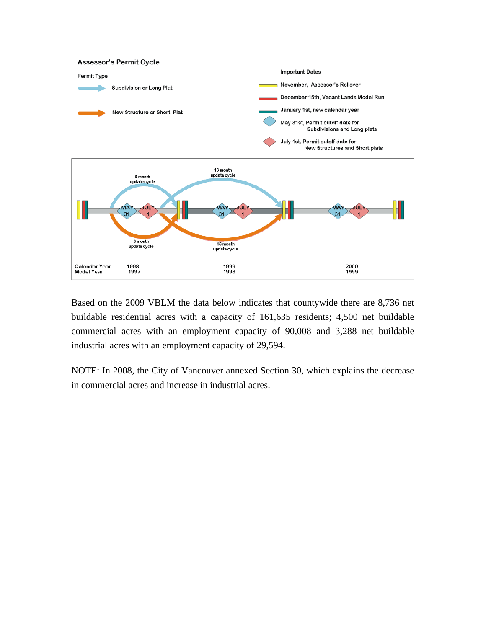

Based on the 2009 VBLM the data below indicates that countywide there are 8,736 net buildable residential acres with a capacity of 161,635 residents; 4,500 net buildable commercial acres with an employment capacity of 90,008 and 3,288 net buildable industrial acres with an employment capacity of 29,594.

NOTE: In 2008, the City of Vancouver annexed Section 30, which explains the decrease in commercial acres and increase in industrial acres.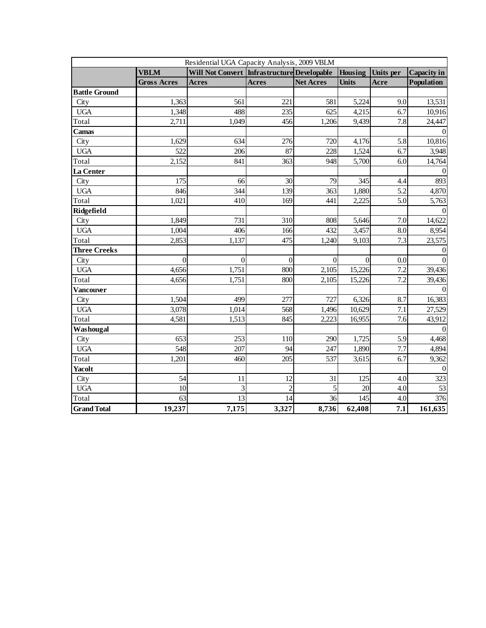| Residential UGA Capacity Analysis, 2009 VBLM |                    |                                                |                |                  |              |           |                    |  |
|----------------------------------------------|--------------------|------------------------------------------------|----------------|------------------|--------------|-----------|--------------------|--|
|                                              | <b>VBLM</b>        | Will Not Convert   Infrastructure  Developable |                |                  | Housing      | Units per | <b>Capacity in</b> |  |
|                                              | <b>Gross Acres</b> | <b>Acres</b>                                   | <b>Acres</b>   | <b>Net Acres</b> | <b>Units</b> | Acre      | <b>Population</b>  |  |
| <b>Battle Ground</b>                         |                    |                                                |                |                  |              |           |                    |  |
| City                                         | 1,363              | 561                                            | 221            | 581              | 5,224        | 9.0       | 13,531             |  |
| <b>UGA</b>                                   | 1,348              | 488                                            | 235            | 625              | 4,215        | 6.7       | 10,916             |  |
| Total                                        | 2,711              | 1,049                                          | 456            | 1,206            | 9,439        | 7.8       | 24,447             |  |
| Camas                                        |                    |                                                |                |                  |              |           |                    |  |
| City                                         | 1,629              | 634                                            | 276            | 720              | 4,176        | 5.8       | 10,816             |  |
| <b>UGA</b>                                   | 522                | 206                                            | 87             | 228              | 1,524        | 6.7       | 3,948              |  |
| Total                                        | 2,152              | 841                                            | 363            | 948              | 5,700        | 6.0       | 14,764             |  |
| La Center                                    |                    |                                                |                |                  |              |           | $\Omega$           |  |
| City                                         | 175                | 66                                             | 30             | 79               | 345          | 4.4       | 893                |  |
| <b>UGA</b>                                   | 846                | 344                                            | 139            | 363              | 1,880        | 5.2       | 4,870              |  |
| Total                                        | 1,021              | 410                                            | 169            | 441              | 2,225        | 5.0       | 5,763              |  |
| Ridgefield                                   |                    |                                                |                |                  |              |           |                    |  |
| City                                         | 1,849              | 731                                            | 310            | 808              | 5,646        | 7.0       | 14,622             |  |
| <b>UGA</b>                                   | 1,004              | 406                                            | 166            | 432              | 3,457        | 8.0       | 8,954              |  |
| Total                                        | 2,853              | 1,137                                          | 475            | 1,240            | 9,103        | 7.3       | 23,575             |  |
| <b>Three Creeks</b>                          |                    |                                                |                |                  |              |           | $\Omega$           |  |
| City                                         | $\theta$           | $\overline{0}$                                 | $\overline{0}$ | $\overline{0}$   | $\Omega$     | 0.0       |                    |  |
| <b>UGA</b>                                   | 4,656              | 1,751                                          | 800            | 2,105            | 15,226       | 7.2       | 39,436             |  |
| Total                                        | 4,656              | 1,751                                          | 800            | 2,105            | 15,226       | 7.2       | 39,436             |  |
| <b>Vancouver</b>                             |                    |                                                |                |                  |              |           |                    |  |
| City                                         | 1,504              | 499                                            | 277            | 727              | 6,326        | 8.7       | 16,383             |  |
| <b>UGA</b>                                   | 3,078              | 1,014                                          | 568            | 1,496            | 10,629       | 7.1       | 27,529             |  |
| Total                                        | 4,581              | 1,513                                          | 845            | 2,223            | 16,955       | 7.6       | 43,912             |  |
| Washougal                                    |                    |                                                |                |                  |              |           |                    |  |
| City                                         | 653                | 253                                            | 110            | 290              | 1,725        | 5.9       | 4,468              |  |
| <b>UGA</b>                                   | 548                | 207                                            | 94             | 247              | 1,890        | 7.7       | 4,894              |  |
| Total                                        | 1,201              | 460                                            | 205            | 537              | 3,615        | 6.7       | 9,362              |  |
| <b>Yacolt</b>                                |                    |                                                |                |                  |              |           | $\Omega$           |  |
| City                                         | 54                 | 11                                             | 12             | 31               | 125          | 4.0       | 323                |  |
| <b>UGA</b>                                   | 10                 | 3                                              | $\overline{c}$ | 5                | 20           | 4.0       | 53                 |  |
| Total                                        | 63                 | $\overline{13}$                                | 14             | 36               | 145          | 4.0       | 376                |  |
| <b>Grand Total</b>                           | 19,237             | 7,175                                          | 3,327          | 8,736            | 62,408       | 7.1       | 161,635            |  |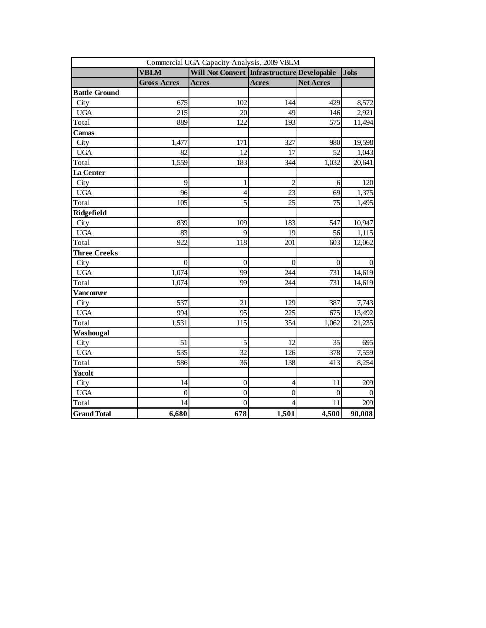| Commercial UGA Capacity Analysis, 2009 VBLM |                    |                                                |                          |                  |                 |  |  |
|---------------------------------------------|--------------------|------------------------------------------------|--------------------------|------------------|-----------------|--|--|
|                                             | <b>VBLM</b>        | Will Not Convert   Infrastructure  Developable |                          |                  | <b>Jobs</b>     |  |  |
|                                             | <b>Gross Acres</b> | <b>Acres</b>                                   | <b>Acres</b>             | <b>Net Acres</b> |                 |  |  |
| <b>Battle Ground</b>                        |                    |                                                |                          |                  |                 |  |  |
| City                                        | 675                | 102                                            | 144                      | 429              | 8,572           |  |  |
| <b>UGA</b>                                  | 215                | 20                                             | 49                       | 146              | 2,921           |  |  |
| Total                                       | 889                | 122                                            | 193                      | 575              | 11,494          |  |  |
| Camas                                       |                    |                                                |                          |                  |                 |  |  |
| City                                        | 1,477              | 171                                            | 327                      | 980              | 19,598          |  |  |
| <b>UGA</b>                                  | 82                 | 12                                             | 17                       | 52               | 1,043           |  |  |
| Total                                       | 1,559              | 183                                            | 344                      | 1,032            | 20,641          |  |  |
| La Center                                   |                    |                                                |                          |                  |                 |  |  |
| City                                        | 9                  | 1                                              | $\overline{c}$           | 6                | 120             |  |  |
| <b>UGA</b>                                  | 96                 | $\overline{4}$                                 | 23                       | 69               | 1,375           |  |  |
| Total                                       | 105                | 5                                              | 25                       | 75               | 1,495           |  |  |
| Ridgefield                                  |                    |                                                |                          |                  |                 |  |  |
| City                                        | 839                | 109                                            | 183                      | 547              | 10,947          |  |  |
| <b>UGA</b>                                  | 83                 | 9                                              | 19                       | 56               | 1,115           |  |  |
| Total                                       | 922                | 118                                            | 201                      | 603              | 12,062          |  |  |
| <b>Three Creeks</b>                         |                    |                                                |                          |                  |                 |  |  |
| City                                        | $\boldsymbol{0}$   | $\boldsymbol{0}$                               | $\boldsymbol{0}$         | $\mathbf{0}$     | $\vert 0 \vert$ |  |  |
| <b>UGA</b>                                  | 1,074              | 99                                             | 244                      | 731              | 14,619          |  |  |
| Total                                       | 1,074              | 99                                             | 244                      | 731              | 14,619          |  |  |
| Vancouver                                   |                    |                                                |                          |                  |                 |  |  |
| City                                        | 537                | 21                                             | 129                      | 387              | 7,743           |  |  |
| <b>UGA</b>                                  | 994                | 95                                             | 225                      | 675              | 13,492          |  |  |
| Total                                       | 1,531              | 115                                            | 354                      | 1,062            | 21,235          |  |  |
| Washougal                                   |                    |                                                |                          |                  |                 |  |  |
| City                                        | 51                 | 5                                              | 12                       | 35               | 695             |  |  |
| <b>UGA</b>                                  | 535                | 32                                             | 126                      | 378              | 7,559           |  |  |
| Total                                       | 586                | 36                                             | 138                      | 413              | 8,254           |  |  |
| Yacolt                                      |                    |                                                |                          |                  |                 |  |  |
| City                                        | 14                 | $\boldsymbol{0}$                               | $\overline{\mathcal{L}}$ | 11               | 209             |  |  |
| <b>UGA</b>                                  | $\overline{0}$     | $\overline{0}$                                 | $\overline{0}$           | $\theta$         | $\Omega$        |  |  |
| Total                                       | 14                 | $\overline{0}$                                 | $\overline{4}$           | 11               | 209             |  |  |
| <b>Grand Total</b>                          | 6,680              | 678                                            | 1,501                    | 4,500            | 90,008          |  |  |